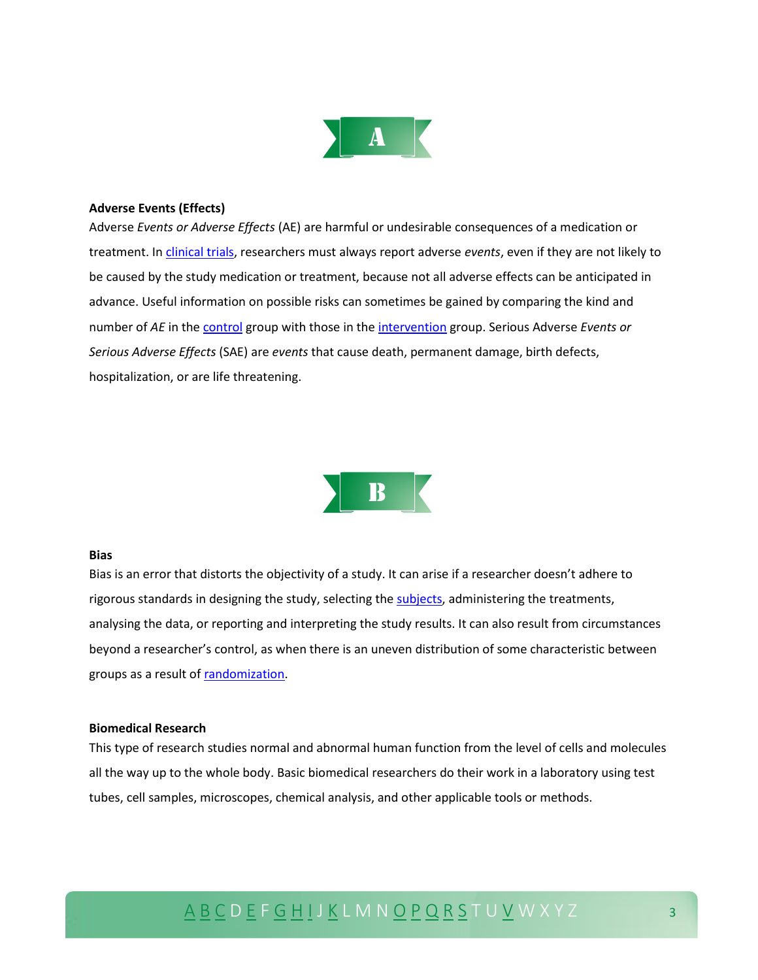

## <span id="page-2-2"></span><span id="page-2-0"></span>**Adverse Events (Effects)**

Adverse *Events or Adverse Effects* (AE) are harmful or undesirable consequences of a medication or treatment. In [clinical trials,](#page-4-0) researchers must always report adverse *events*, even if they are not likely to be caused by the study medication or treatment, because not all adverse effects can be anticipated in advance. Useful information on possible risks can sometimes be gained by comparing the kind and number of *AE* in the [control](#page-5-1) group with those in th[e intervention](#page-8-2) group. Serious Adverse *Events or Serious Adverse Effects* (SAE) are *events* that cause death, permanent damage, birth defects, hospitalization, or are life threatening.



#### <span id="page-2-1"></span>**Bias**

Bias is an error that distorts the objectivity of a study. It can arise if a researcher doesn't adhere to rigorous standards in designing the study, selecting th[e subjects,](#page-14-0) administering the treatments, analysing the data, or reporting and interpreting the study results. It can also result from circumstances beyond a researcher's control, as when there is an uneven distribution of some characteristic between groups as a result o[f randomization.](#page-12-0)

## <span id="page-2-3"></span>**Biomedical Research**

This type of research studies normal and abnormal human function from the level of cells and molecules all the way up to the whole body. Basic biomedical researchers do their work in a laboratory using test tubes, cell samples, microscopes, chemical analysis, and other applicable tools or methods.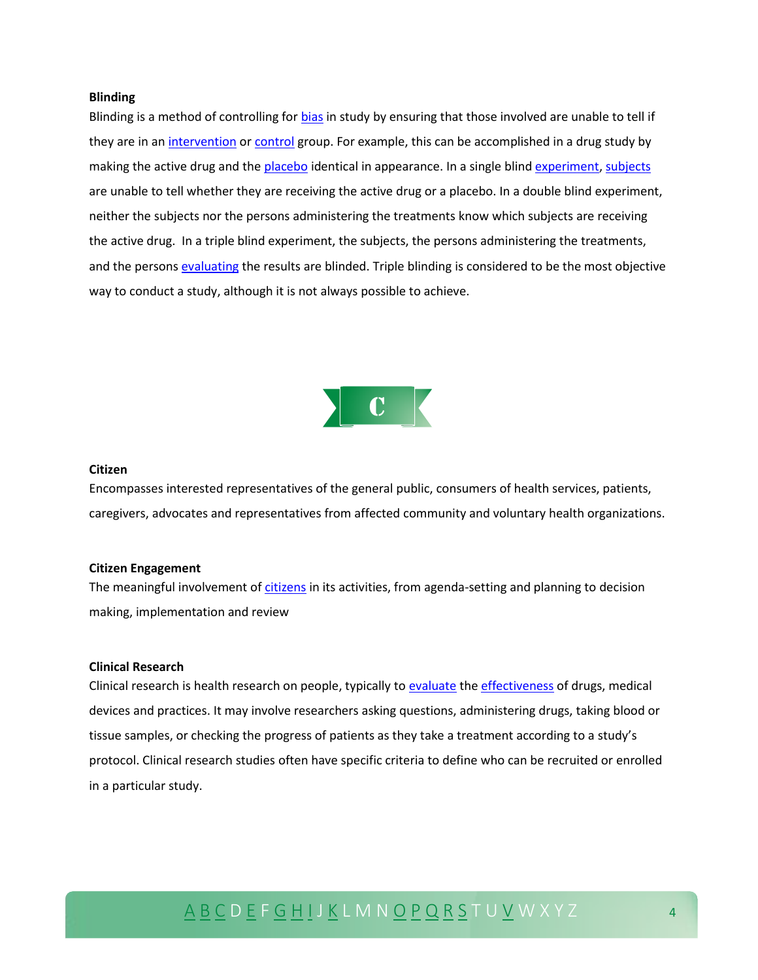### <span id="page-3-2"></span>**Blinding**

Blinding is a method of controlling for [bias](#page-2-1) in study by ensuring that those involved are unable to tell if they are in an [intervention](#page-8-2) or [control](#page-5-1) group. For example, this can be accomplished in a drug study by making the active drug and the [placebo](#page-9-0) identical in appearance. In a single blin[d experiment,](#page-6-1) [subjects](#page-14-0) are unable to tell whether they are receiving the active drug or a placebo. In a double blind experiment, neither the subjects nor the persons administering the treatments know which subjects are receiving the active drug. In a triple blind experiment, the subjects, the persons administering the treatments, and the person[s evaluating](#page-6-2) the results are blinded. Triple blinding is considered to be the most objective way to conduct a study, although it is not always possible to achieve.



### <span id="page-3-1"></span><span id="page-3-0"></span>**Citizen**

Encompasses interested representatives of the general public, consumers of health services, patients, caregivers, advocates and representatives from affected community and voluntary health organizations.

#### **Citizen Engagement**

The meaningful involvement of [citizens](#page-3-1) in its activities, from agenda-setting and planning to decision making, implementation and review

#### <span id="page-3-3"></span>**Clinical Research**

Clinical research is health research on people, typically to [evaluate](#page-6-2) th[e effectiveness o](#page-5-0)f drugs, medical devices and practices. It may involve researchers asking questions, administering drugs, taking blood or tissue samples, or checking the progress of patients as they take a treatment according to a study's protocol. Clinical research studies often have specific criteria to define who can be recruited or enrolled in a particular study.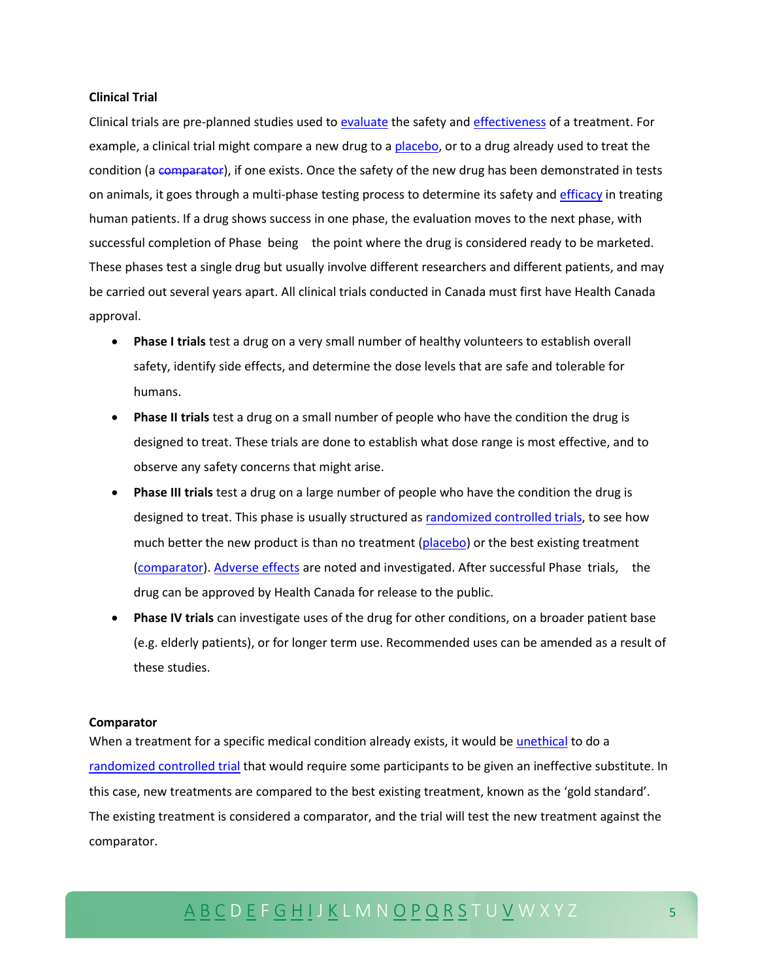### <span id="page-4-0"></span>**Clinical Trial**

Clinical trials are pre-planned studies used to [evaluate](#page-6-2) the safety an[d effectiveness](#page-5-0) of a treatment. For example, a clinical trial might compare a new drug to a [placebo,](#page-9-0) or to a drug already used to treat the condition (a [comparator\)](#page-4-1), if one exists. Once the safety of the new drug has been demonstrated in tests on animals, it goes through a multi-phase testing process to determine its safety and [efficacy](#page-5-0) in treating human patients. If a drug shows success in one phase, the evaluation moves to the next phase, with successful completion of Phase /// being the point where the drug is considered ready to be marketed. These phases test a single drug but usually involve different researchers and different patients, and may be carried out several years apart. All clinical trials conducted in Canada must first have Health Canada approval.

- **Phase I trials** test a drug on a very small number of healthy volunteers to establish overall safety, identify side effects, and determine the dose levels that are safe and tolerable for humans.
- **Phase II trials** test a drug on a small number of people who have the condition the drug is designed to treat. These trials are done to establish what dose range is most effective, and to observe any safety concerns that might arise.
- **Phase III trials** test a drug on a large number of people who have the condition the drug is designed to treat. This phase is usually structured as [randomized controlled trials,](#page-12-1) to see how much better the new product is than no treatment [\(placebo\)](#page-9-0) or the best existing treatment [\(comparator\)](#page-4-1). [Adverse effects](#page-2-2) are noted and investigated. After successful Phase /// trials, the drug can be approved by Health Canada for release to the public.
- **Phase IV trials** can investigate uses of the drug for other conditions, on a broader patient base (e.g. elderly patients), or for longer term use. Recommended uses can be amended as a result of these studies.

#### <span id="page-4-1"></span>**Comparator**

When a treatment for a specific medical condition already exists, it would be [unethical](#page-6-3) to do a [randomized controlled trial](#page-12-1) that would require some participants to be given an ineffective substitute. In this case, new treatments are compared to the best existing treatment, known as the 'gold standard'. The existing treatment is considered a comparator, and the trial will test the new treatment against the comparator.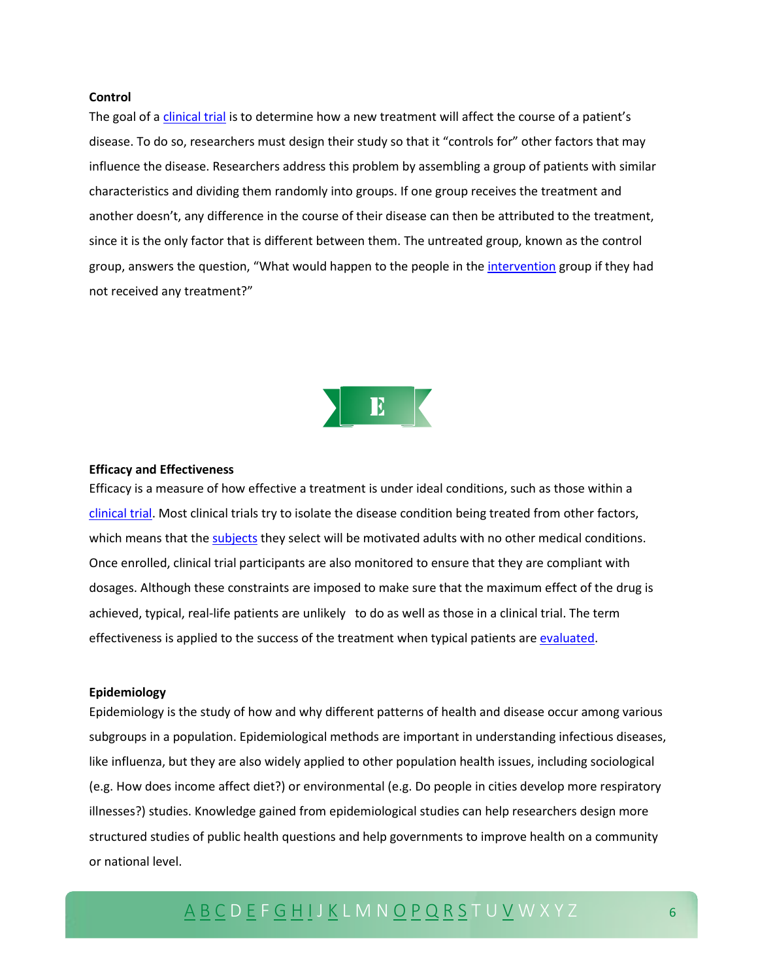#### <span id="page-5-1"></span>**Control**

The goal of a [clinical trial](#page-4-0) is to determine how a new treatment will affect the course of a patient's disease. To do so, researchers must design their study so that it "controls for" other factors that may influence the disease. Researchers address this problem by assembling a group of patients with similar characteristics and dividing them randomly into groups. If one group receives the treatment and another doesn't, any difference in the course of their disease can then be attributed to the treatment, since it is the only factor that is different between them. The untreated group, known as the control group, answers the question, "What would happen to the people in the [intervention](#page-8-2) group if they had not received any treatment?"



#### <span id="page-5-0"></span>**Efficacy and Effectiveness**

Efficacy is a measure of how effective a treatment is under ideal conditions, such as those within a [clinical trial.](#page-4-0) Most clinical trials try to isolate the disease condition being treated from other factors, which means that th[e subjects](#page-14-0) they select will be motivated adults with no other medical conditions. Once enrolled, clinical trial participants are also monitored to ensure that they are compliant with dosages. Although these constraints are imposed to make sure that the maximum effect of the drug is achieved, typical, real-life patients are unlikely to do as well as those in a clinical trial. The term effectiveness is applied to the success of the treatment when typical patients are [evaluated.](#page-6-2)

### **Epidemiology**

Epidemiology is the study of how and why different patterns of health and disease occur among various subgroups in a population. Epidemiological methods are important in understanding infectious diseases, like influenza, but they are also widely applied to other population health issues, including sociological (e.g. How does income affect diet?) or environmental (e.g. Do people in cities develop more respiratory illnesses?) studies. Knowledge gained from epidemiological studies can help researchers design more structured studies of public health questions and help governments to improve health on a community or national level.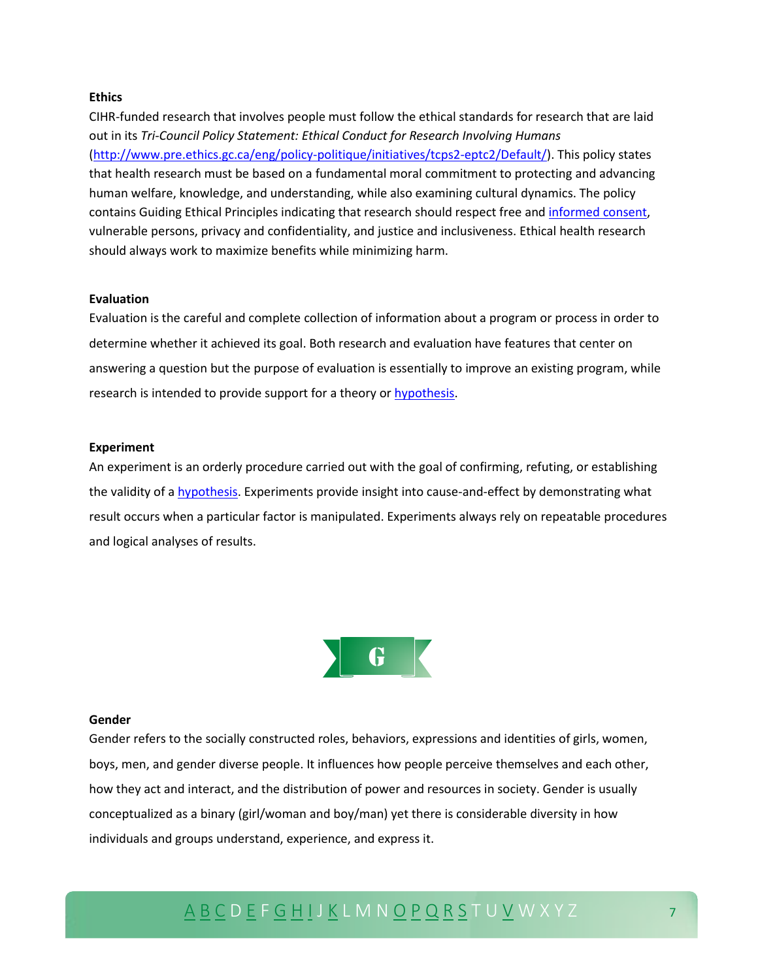## <span id="page-6-3"></span>**Ethics**

CIHR-funded research that involves people must follow the ethical standards for research that are laid out in its *Tri-Council Policy Statement: Ethical Conduct for Research Involving Humans* [\(http://www.pre.ethics.gc.ca/eng/policy-politique/initiatives/tcps2-eptc2/Default/\)](http://www.pre.ethics.gc.ca/eng/policy-politique/initiatives/tcps2-eptc2/Default/). This policy states that health research must be based on a fundamental moral commitment to protecting and advancing human welfare, knowledge, and understanding, while also examining cultural dynamics. The policy contains Guiding Ethical Principles indicating that research should respect free and [informed consent,](#page-7-1) vulnerable persons, privacy and confidentiality, and justice and inclusiveness. Ethical health research should always work to maximize benefits while minimizing harm.

## <span id="page-6-2"></span>**Evaluation**

Evaluation is the careful and complete collection of information about a program or process in order to determine whether it achieved its goal. Both research and evaluation have features that center on answering a question but the purpose of evaluation is essentially to improve an existing program, while research is intended to provide support for a theory o[r hypothesis.](#page-7-2)

### <span id="page-6-1"></span>**Experiment**

<span id="page-6-0"></span>An experiment is an orderly procedure carried out with the goal of confirming, refuting, or establishing the validity of [a hypothesis.](#page-7-2) Experiments provide insight into cause-and-effect by demonstrating what result occurs when a particular factor is manipulated. Experiments always rely on repeatable procedures and logical analyses of results.



### **Gender**

Gender refers to the socially constructed roles, behaviors, expressions and identities of girls, women, boys, men, and gender diverse people. It influences how people perceive themselves and each other, how they act and interact, and the distribution of power and resources in society. Gender is usually conceptualized as a binary (girl/woman and boy/man) yet there is considerable diversity in how individuals and groups understand, experience, and express it.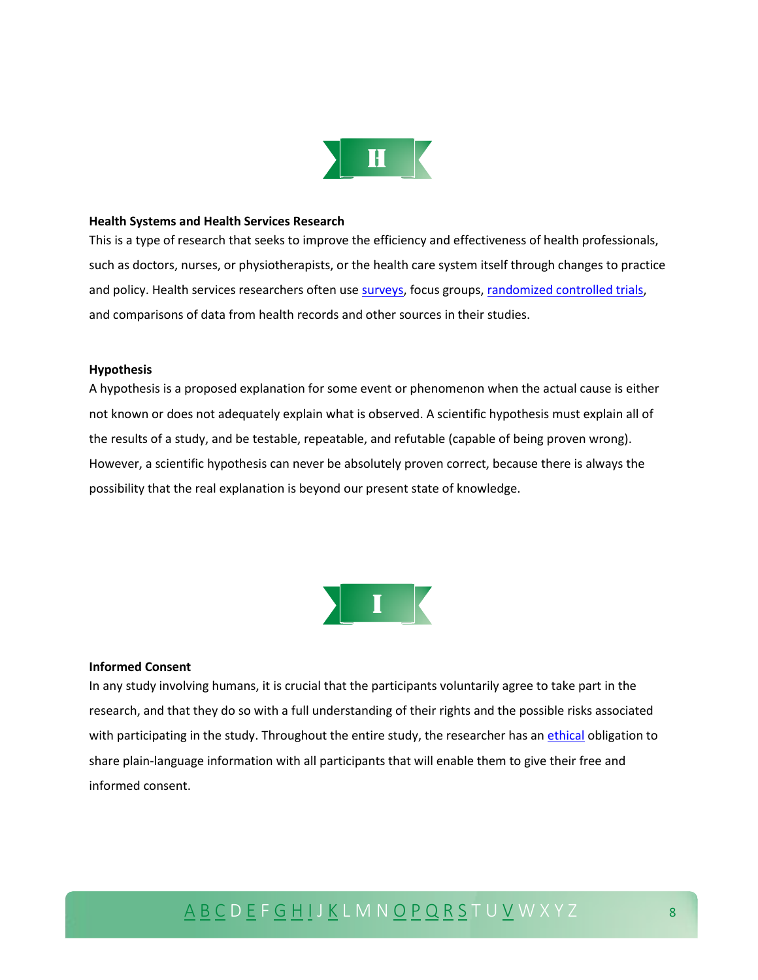

### <span id="page-7-3"></span><span id="page-7-0"></span>**Health Systems and Health Services Research**

This is a type of research that seeks to improve the efficiency and effectiveness of health professionals, such as doctors, nurses, or physiotherapists, or the health care system itself through changes to practice and policy. Health services researchers often use [surveys,](#page-15-1) focus groups[, randomized controlled trials,](#page-12-1) and comparisons of data from health records and other sources in their studies.

#### <span id="page-7-2"></span>**Hypothesis**

<span id="page-7-1"></span>A hypothesis is a proposed explanation for some event or phenomenon when the actual cause is either not known or does not adequately explain what is observed. A scientific hypothesis must explain all of the results of a study, and be testable, repeatable, and refutable (capable of being proven wrong). However, a scientific hypothesis can never be absolutely proven correct, because there is always the possibility that the real explanation is beyond our present state of knowledge.



## **Informed Consent**

In any study involving humans, it is crucial that the participants voluntarily agree to take part in the research, and that they do so with a full understanding of their rights and the possible risks associated with participating in the study. Throughout the entire study, the researcher has an [ethical](#page-6-3) obligation to share plain-language information with all participants that will enable them to give their free and informed consent.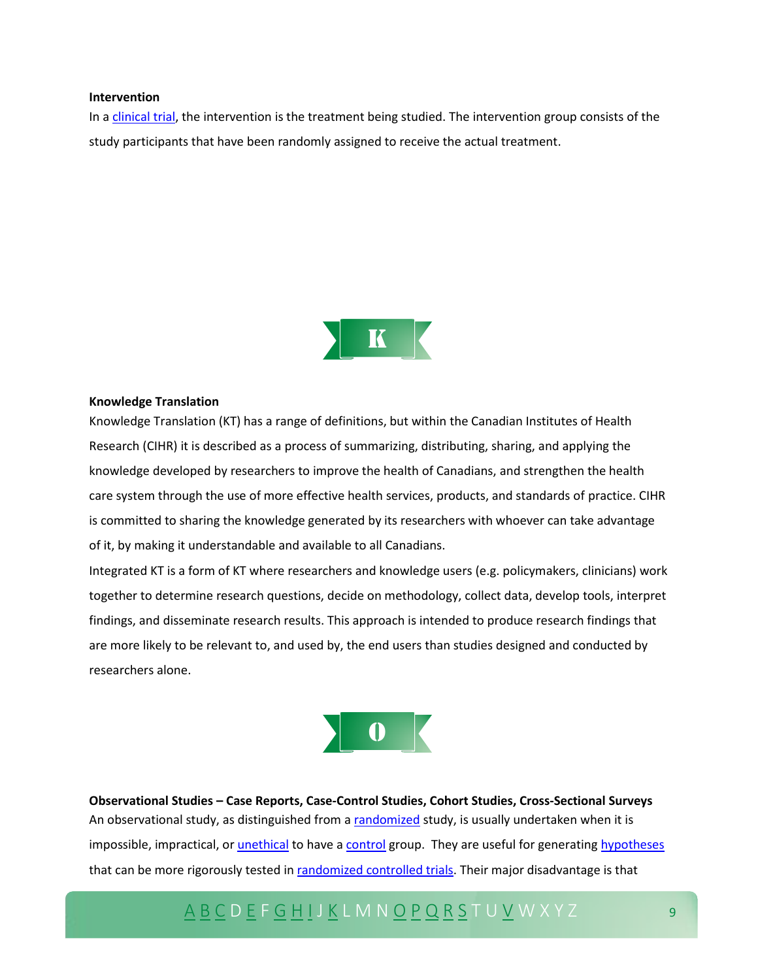### <span id="page-8-2"></span>**Intervention**

In a [clinical trial,](#page-4-0) the intervention is the treatment being studied. The intervention group consists of the study participants that have been randomly assigned to receive the actual treatment.

<span id="page-8-0"></span>

### <span id="page-8-3"></span>**Knowledge Translation**

Knowledge Translation (KT) has a range of definitions, but within the Canadian Institutes of Health Research (CIHR) it is described as a process of summarizing, distributing, sharing, and applying the knowledge developed by researchers to improve the health of Canadians, and strengthen the health care system through the use of more effective health services, products, and standards of practice. CIHR is committed to sharing the knowledge generated by its researchers with whoever can take advantage of it, by making it understandable and available to all Canadians.

Integrated KT is a form of KT where researchers and knowledge users (e.g. policymakers, clinicians) work together to determine research questions, decide on methodology, collect data, develop tools, interpret findings, and disseminate research results. This approach is intended to produce research findings that are more likely to be relevant to, and used by, the end users than studies designed and conducted by researchers alone.



<span id="page-8-1"></span>**Observational Studies – Case Reports, Case-Control Studies, Cohort Studies, Cross-Sectional Surveys** An observational study, as distinguished from a [randomized](#page-12-2) study, is usually undertaken when it is impossible, impractical, or [unethical](#page-6-3) to have [a control](#page-5-1) group. They are useful for generating [hypotheses](#page-7-2) that can be more rigorously tested in [randomized controlled trials.](#page-12-1) Their major disadvantage is that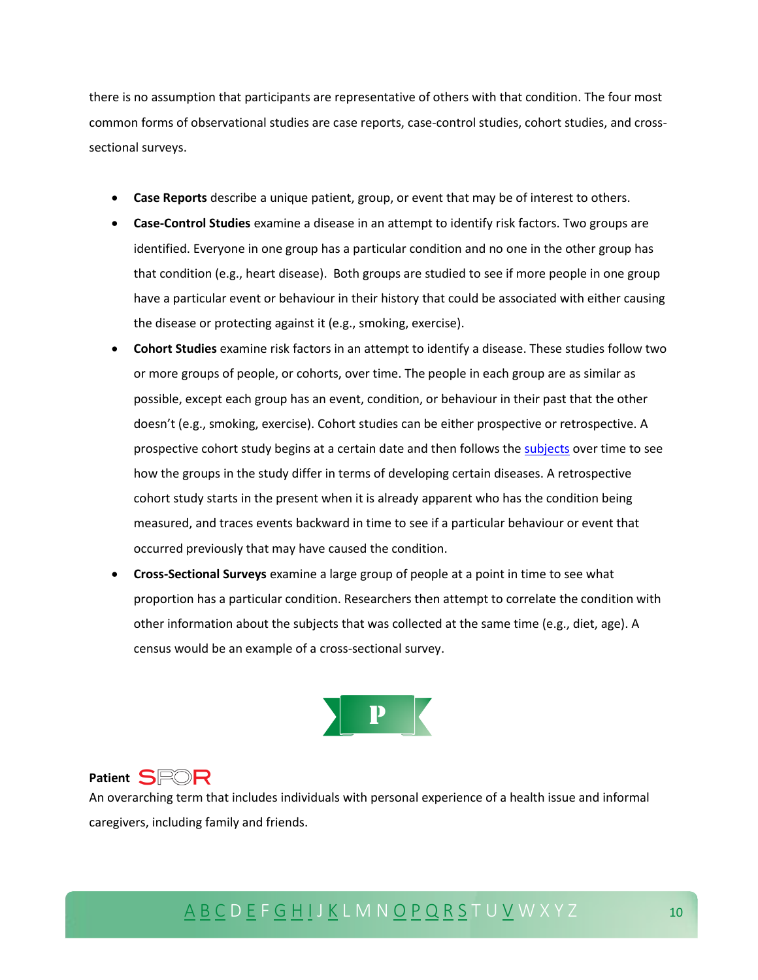<span id="page-9-1"></span>there is no assumption that participants are representative of others with that condition. The four most common forms of observational studies are case reports, case-control studies, cohort studies, and crosssectional surveys.

- **Case Reports** describe a unique patient, group, or event that may be of interest to others.
- **Case-Control Studies** examine a disease in an attempt to identify risk factors. Two groups are identified. Everyone in one group has a particular condition and no one in the other group has that condition (e.g., heart disease). Both groups are studied to see if more people in one group have a particular event or behaviour in their history that could be associated with either causing the disease or protecting against it (e.g., smoking, exercise).
- **Cohort Studies** examine risk factors in an attempt to identify a disease. These studies follow two or more groups of people, or cohorts, over time. The people in each group are as similar as possible, except each group has an event, condition, or behaviour in their past that the other doesn't (e.g., smoking, exercise). Cohort studies can be either prospective or retrospective. A prospective cohort study begins at a certain date and then follows th[e subjects](#page-14-0) over time to see how the groups in the study differ in terms of developing certain diseases. A retrospective cohort study starts in the present when it is already apparent who has the condition being measured, and traces events backward in time to see if a particular behaviour or event that occurred previously that may have caused the condition.
- <span id="page-9-0"></span> **Cross-Sectional Surveys** examine a large group of people at a point in time to see what proportion has a particular condition. Researchers then attempt to correlate the condition with other information about the subjects that was collected at the same time (e.g., diet, age). A census would be an example of a cross-sectional survey.



## Patient **SEOR**

An overarching term that includes individuals with personal experience of a health issue and informal caregivers, including family and friends.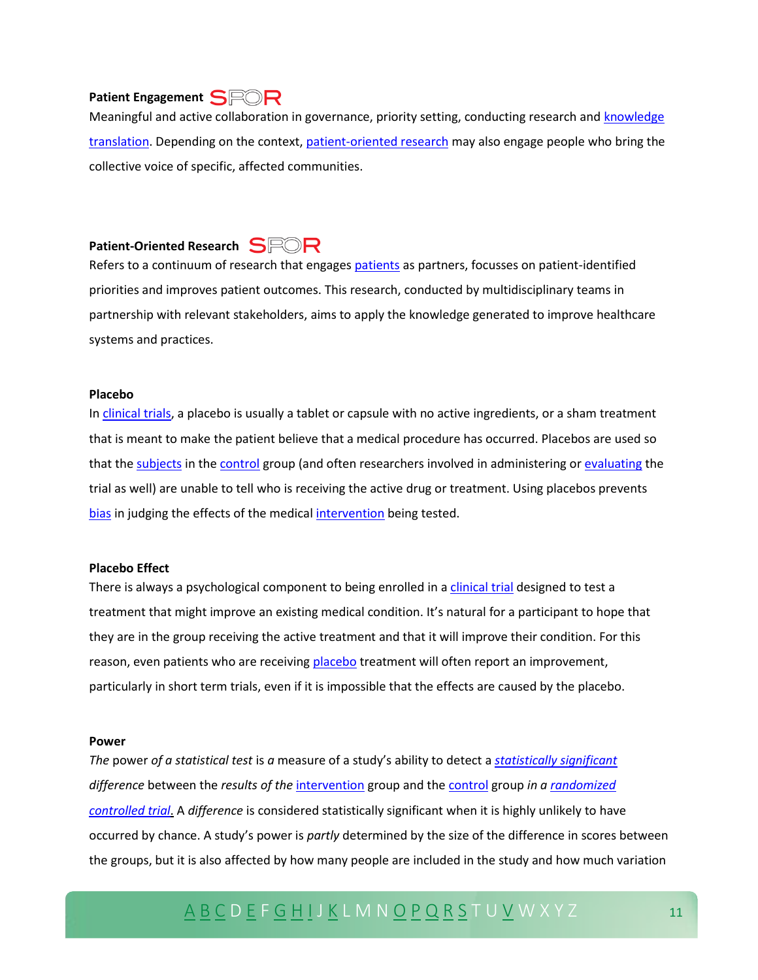## <span id="page-10-0"></span>Patient Engagement **SPOR**

Meaningful and active collaboration in governance, priority setting, conducting research an[d knowledge](#page-8-3)  [translation.](#page-8-3) Depending on the context, [patient-oriented research](#page-10-0) may also engage people who bring the collective voice of specific, affected communities.

## Patient-Oriented Research **SFOR**

Refers to a continuum of research that engage[s patients](#page-9-1) as partners, focusses on patient-identified priorities and improves patient outcomes. This research, conducted by multidisciplinary teams in partnership with relevant stakeholders, aims to apply the knowledge generated to improve healthcare systems and practices.

## <span id="page-10-1"></span>**Placebo**

In [clinical trials,](#page-4-0) a placebo is usually a tablet or capsule with no active ingredients, or a sham treatment that is meant to make the patient believe that a medical procedure has occurred. Placebos are used so that the [subjects](#page-14-0) in th[e control](#page-5-1) group (and often researchers involved in administering or [evaluating](#page-6-2) the trial as well) are unable to tell who is receiving the active drug or treatment. Using placebos prevents [bias](#page-2-1) in judging the effects of the medica[l intervention](#page-8-2) being tested.

## **Placebo Effect**

There is always a psychological component to being enrolled in a [clinical](#page-4-0) trial designed to test a treatment that might improve an existing medical condition. It's natural for a participant to hope that they are in the group receiving the active treatment and that it will improve their condition. For this reason, even patients who are receivin[g placebo](#page-10-1) treatment will often report an improvement, particularly in short term trials, even if it is impossible that the effects are caused by the placebo.

## <span id="page-10-2"></span>**Power**

*The* power *of a statistical test* is *a* measure of a study's ability to detect a *[statistically significant](#page-14-1) difference* between the *results of the* [intervention](#page-8-2) group and th[e control](#page-5-1) group *in [a randomized](#page-12-1)  [controlled trial](#page-12-1)*. A *difference* is considered statistically significant when it is highly unlikely to have occurred by chance. A study's power is *partly* determined by the size of the difference in scores between the groups, but it is also affected by how many people are included in the study and how much variation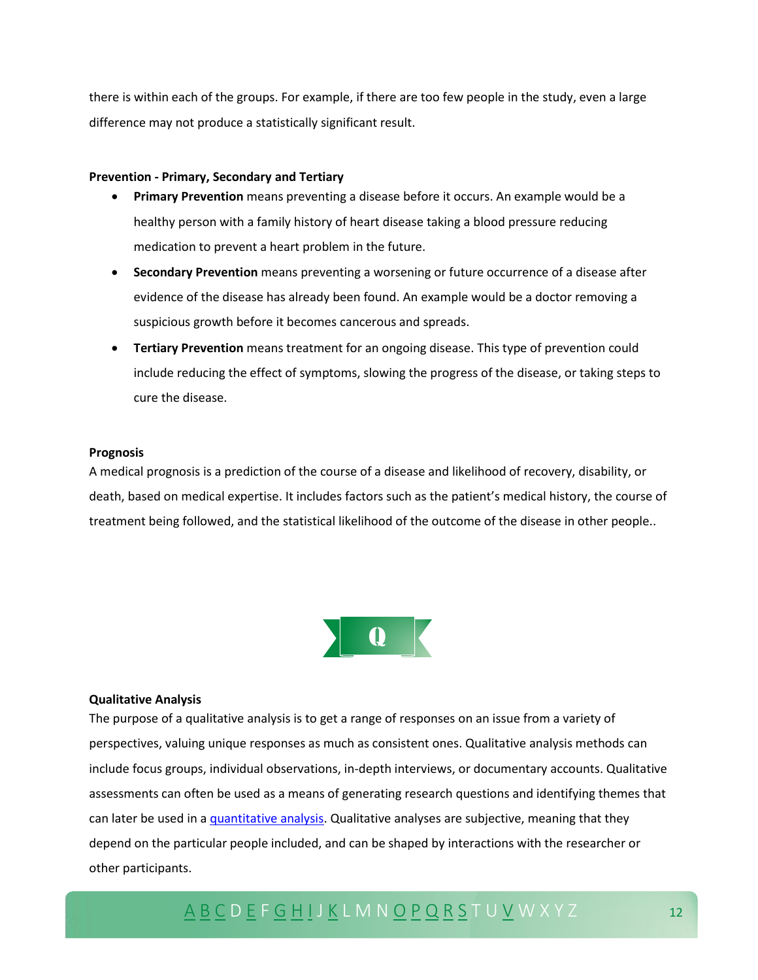there is within each of the groups. For example, if there are too few people in the study, even a large difference may not produce a statistically significant result.

## **Prevention - Primary, Secondary and Tertiary**

- **Primary Prevention** means preventing a disease before it occurs. An example would be a healthy person with a family history of heart disease taking a blood pressure reducing medication to prevent a heart problem in the future.
- <span id="page-11-1"></span> **Secondary Prevention** means preventing a worsening or future occurrence of a disease after evidence of the disease has already been found. An example would be a doctor removing a suspicious growth before it becomes cancerous and spreads.
- **Tertiary Prevention** means treatment for an ongoing disease. This type of prevention could include reducing the effect of symptoms, slowing the progress of the disease, or taking steps to cure the disease.

## **Prognosis**

<span id="page-11-2"></span>A medical prognosis is a prediction of the course of a disease and likelihood of recovery, disability, or death, based on medical expertise. It includes factors such as the patient's medical history, the course of treatment being followed, and the statistical likelihood of the outcome of the disease in other people..



## <span id="page-11-0"></span>**Qualitative Analysis**

The purpose of a qualitative analysis is to get a range of responses on an issue from a variety of perspectives, valuing unique responses as much as consistent ones. Qualitative analysis methods can include focus groups, individual observations, in-depth interviews, or documentary accounts. Qualitative assessments can often be used as a means of generating research questions and identifying themes that can later be used in [a quantitative analysis.](#page-12-3) Qualitative analyses are subjective, meaning that they depend on the particular people included, and can be shaped by interactions with the researcher or other participants.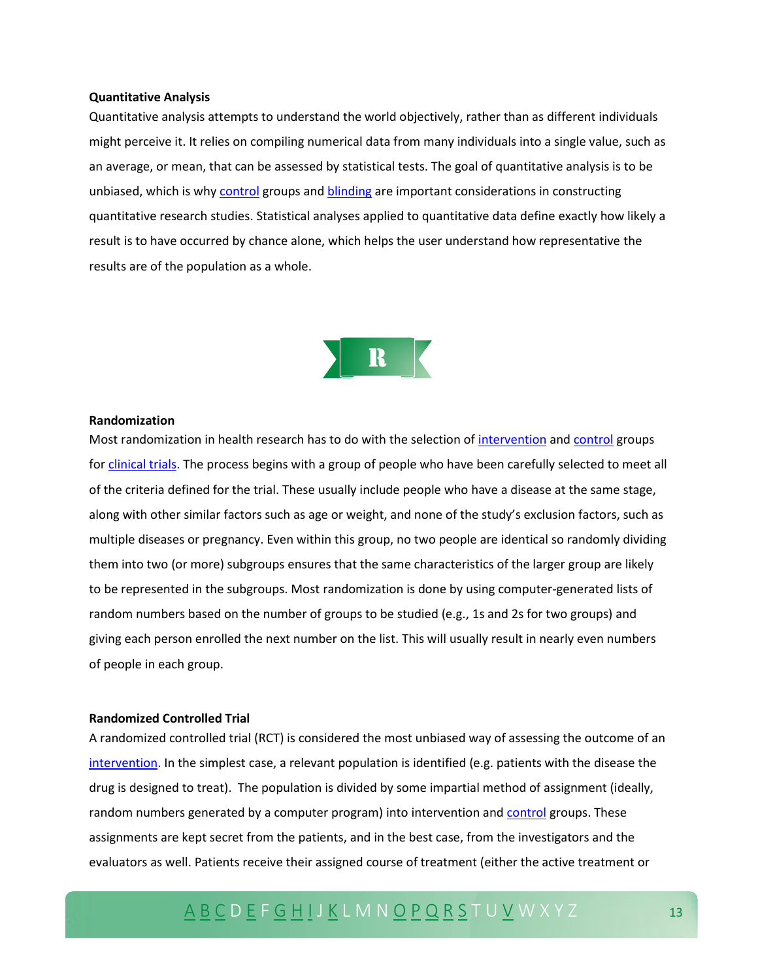#### <span id="page-12-3"></span>**Quantitative Analysis**

Quantitative analysis attempts to understand the world objectively, rather than as different individuals might perceive it. It relies on compiling numerical data from many individuals into a single value, such as an average, or mean, that can be assessed by statistical tests. The goal of quantitative analysis is to be unbiased, which is wh[y control](#page-5-1) groups an[d blinding](#page-3-2) are important considerations in constructing quantitative research studies. Statistical analyses applied to quantitative data define exactly how likely a result is to have occurred by chance alone, which helps the user understand how representative the results are of the population as a whole.



#### <span id="page-12-2"></span><span id="page-12-0"></span>**Randomization**

Most randomization in health research has to do with the selection of [intervention](#page-8-2) an[d control](#page-5-1) groups fo[r clinical trials.](#page-4-0) The process begins with a group of people who have been carefully selected to meet all of the criteria defined for the trial. These usually include people who have a disease at the same stage, along with other similar factors such as age or weight, and none of the study's exclusion factors, such as multiple diseases or pregnancy. Even within this group, no two people are identical so randomly dividing them into two (or more) subgroups ensures that the same characteristics of the larger group are likely to be represented in the subgroups. Most randomization is done by using computer-generated lists of random numbers based on the number of groups to be studied (e.g., 1s and 2s for two groups) and giving each person enrolled the next number on the list. This will usually result in nearly even numbers of people in each group.

### <span id="page-12-1"></span>**Randomized Controlled Trial**

A randomized controlled trial (RCT) is considered the most unbiased way of assessing the outcome of an [intervention.](#page-8-2) In the simplest case, a relevant population is identified (e.g. patients with the disease the drug is designed to treat). The population is divided by some impartial method of assignment (ideally, random numbers generated by a computer program) into intervention an[d control](#page-5-1) groups. These assignments are kept secret from the patients, and in the best case, from the investigators and the evaluators as well. Patients receive their assigned course of treatment (either the active treatment or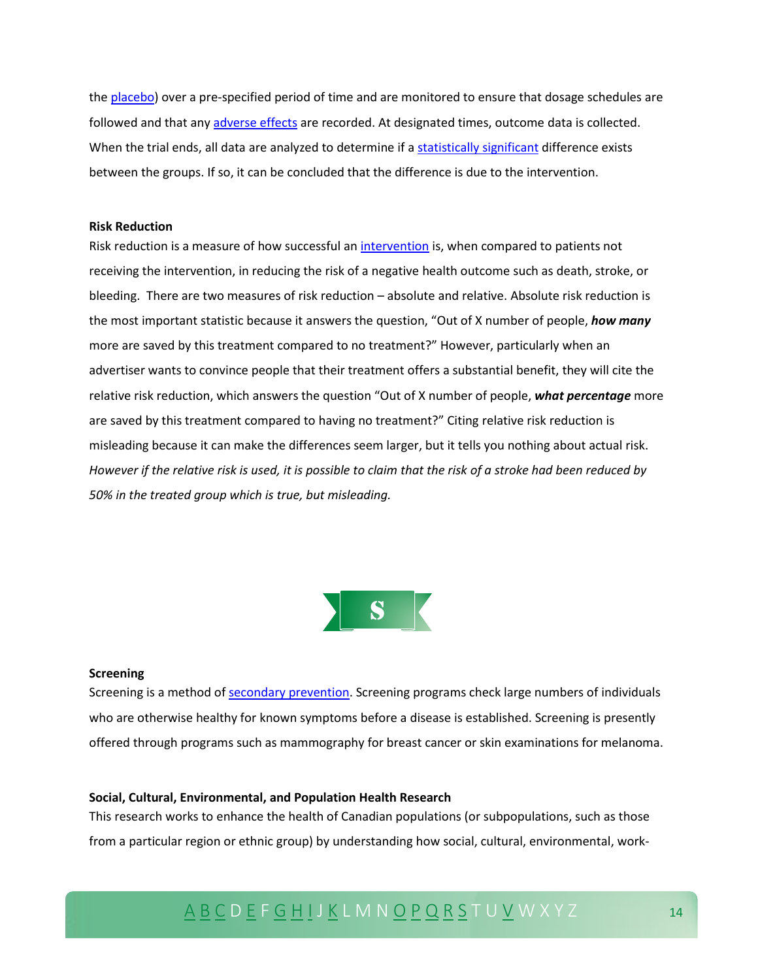th[e placebo\)](#page-9-0) over a pre-specified period of time and are monitored to ensure that dosage schedules are followed and that an[y adverse effects](#page-2-2) are recorded. At designated times, outcome data is collected. When the trial ends, all data are analyzed to determine if a [statistically significant](#page-14-1) difference exists between the groups. If so, it can be concluded that the difference is due to the intervention.

### **Risk Reduction**

Risk reduction is a measure of how successful an [intervention](#page-8-2) is, when compared to patients not receiving the intervention, in reducing the risk of a negative health outcome such as death, stroke, or bleeding. There are two measures of risk reduction – absolute and relative. Absolute risk reduction is the most important statistic because it answers the question, "Out of X number of people, *how many* more are saved by this treatment compared to no treatment?" However, particularly when an advertiser wants to convince people that their treatment offers a substantial benefit, they will cite the relative risk reduction, which answers the question "Out of X number of people, *what percentage* more are saved by this treatment compared to having no treatment?" Citing relative risk reduction is misleading because it can make the differences seem larger, but it tells you nothing about actual risk. *However if the relative risk is used, it is possible to claim that the risk of a stroke had been reduced by 50% in the treated group which is true, but misleading.*



#### <span id="page-13-0"></span>**Screening**

Screening is a method o[f secondary prevention.](#page-11-1) Screening programs check large numbers of individuals who are otherwise healthy for known symptoms before a disease is established. Screening is presently offered through programs such as mammography for breast cancer or skin examinations for melanoma.

## **Social, Cultural, Environmental, and Population Health Research**

This research works to enhance the health of Canadian populations (or subpopulations, such as those from a particular region or ethnic group) by understanding how social, cultural, environmental, work-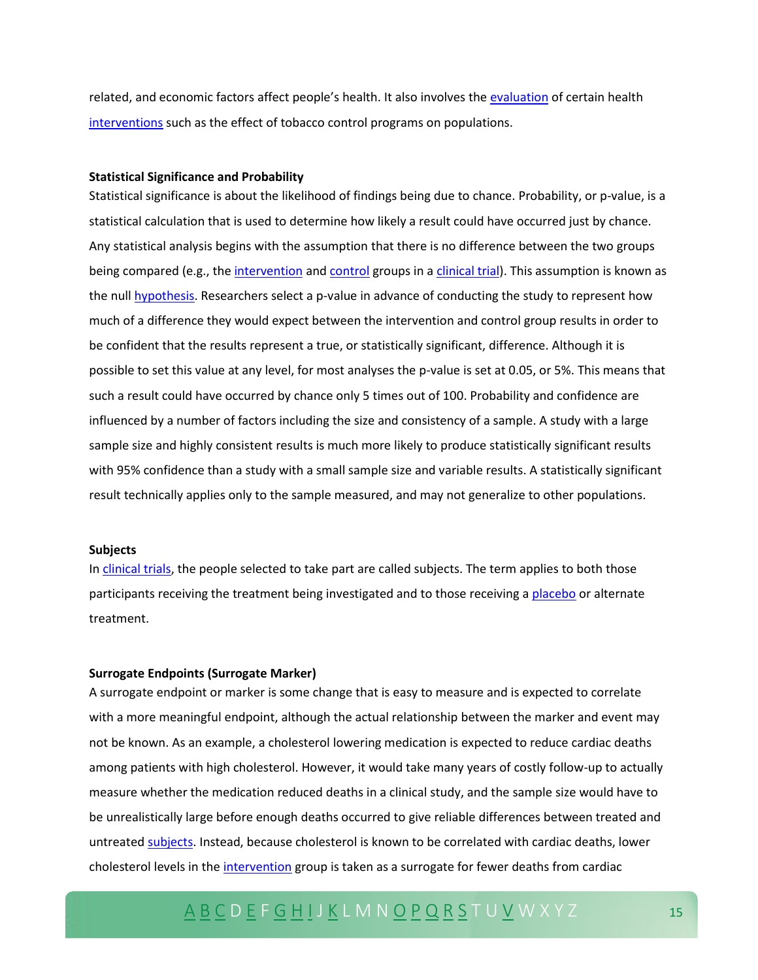related, and economic factors affect people's health. It also involves the [evaluation](#page-6-2) of certain health [interventions](#page-8-2) such as the effect of tobacco control programs on populations.

#### <span id="page-14-1"></span>**Statistical Significance and Probability**

Statistical significance is about the likelihood of findings being due to chance. Probability, or p-value, is a statistical calculation that is used to determine how likely a result could have occurred just by chance. Any statistical analysis begins with the assumption that there is no difference between the two groups being compared (e.g., the *intervention* and *control* groups in a *clinical trial*). This assumption is known as the nul[l hypothesis.](#page-7-2) Researchers select a p-value in advance of conducting the study to represent how much of a difference they would expect between the intervention and control group results in order to be confident that the results represent a true, or statistically significant, difference. Although it is possible to set this value at any level, for most analyses the p-value is set at 0.05, or 5%. This means that such a result could have occurred by chance only 5 times out of 100. Probability and confidence are influenced by a number of factors including the size and consistency of a sample. A study with a large sample size and highly consistent results is much more likely to produce statistically significant results with 95% confidence than a study with a small sample size and variable results. A statistically significant result technically applies only to the sample measured, and may not generalize to other populations.

### <span id="page-14-0"></span>**Subjects**

In [clinical trials,](#page-4-0) the people selected to take part are called subjects. The term applies to both those participants receiving the treatment being investigated and to those receiving a [placebo](#page-9-0) or alternate treatment.

### **Surrogate Endpoints (Surrogate Marker)**

A surrogate endpoint or marker is some change that is easy to measure and is expected to correlate with a more meaningful endpoint, although the actual relationship between the marker and event may not be known. As an example, a cholesterol lowering medication is expected to reduce cardiac deaths among patients with high cholesterol. However, it would take many years of costly follow-up to actually measure whether the medication reduced deaths in a clinical study, and the sample size would have to be unrealistically large before enough deaths occurred to give reliable differences between treated and untreated [subjects.](#page-14-0) Instead, because cholesterol is known to be correlated with cardiac deaths, lower cholesterol levels in the [intervention](#page-8-2) group is taken as a surrogate for fewer deaths from cardiac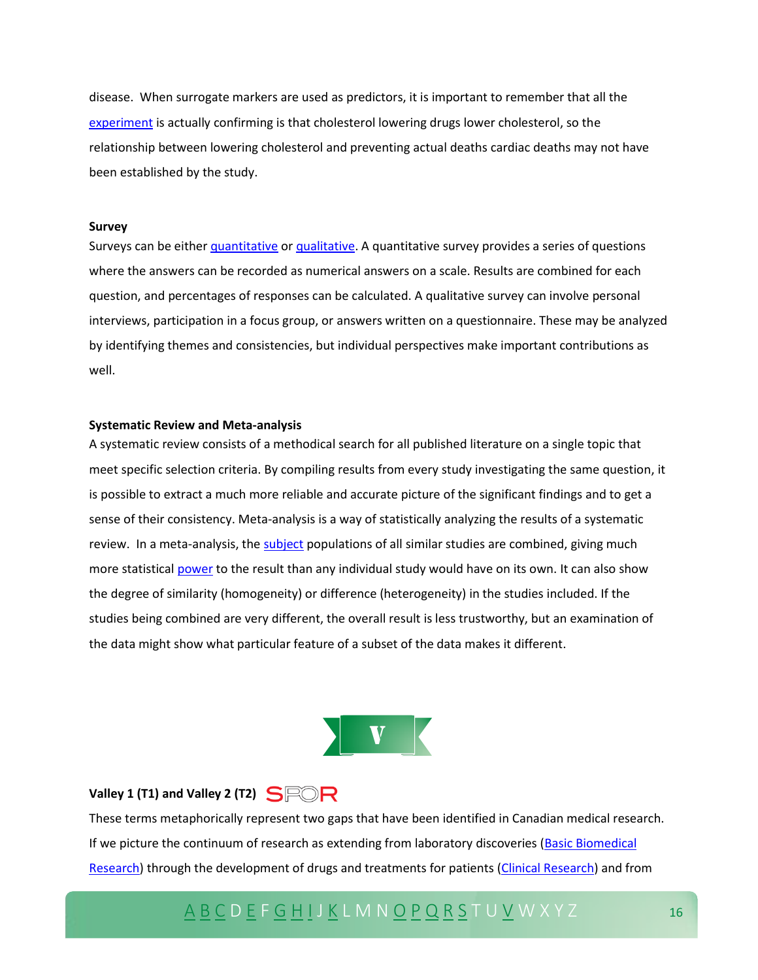disease. When surrogate markers are used as predictors, it is important to remember that all the [experiment](#page-6-1) is actually confirming is that cholesterol lowering drugs lower cholesterol, so the relationship between lowering cholesterol and preventing actual deaths cardiac deaths may not have been established by the study.

#### <span id="page-15-1"></span>**Survey**

Surveys can be either *quantitative or qualitative*. A [quantitative](#page-12-3) survey provides a series of questions where the answers can be recorded as numerical answers on a scale. Results are combined for each question, and percentages of responses can be calculated. A qualitative survey can involve personal interviews, participation in a focus group, or answers written on a questionnaire. These may be analyzed by identifying themes and consistencies, but individual perspectives make important contributions as well.

### **Systematic Review and Meta-analysis**

A systematic review consists of a methodical search for all published literature on a single topic that meet specific selection criteria. By compiling results from every study investigating the same question, it is possible to extract a much more reliable and accurate picture of the significant findings and to get a sense of their consistency. Meta-analysis is a way of statistically analyzing the results of a systematic review. In a meta-analysis, the [subject](#page-14-0) populations of all similar studies are combined, giving much more statistical [power](#page-10-2) to the result than any individual study would have on its own. It can also show the degree of similarity (homogeneity) or difference (heterogeneity) in the studies included. If the studies being combined are very different, the overall result is less trustworthy, but an examination of the data might show what particular feature of a subset of the data makes it different.



## <span id="page-15-0"></span>**Valley 1 (T1) and Valley 2 (T2) SPOR**

These terms metaphorically represent two gaps that have been identified in Canadian medical research. If we picture the continuum of research as extending from laboratory discoveries [\(Basic Biomedical](#page-2-3)  [Research\)](#page-2-3) through the development of drugs and treatments for patients [\(Clinical Research\)](#page-3-3) and from